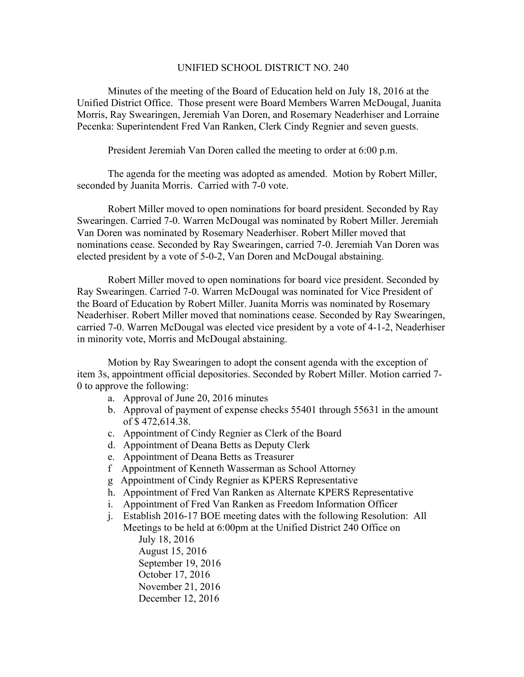## UNIFIED SCHOOL DISTRICT NO. 240

Minutes of the meeting of the Board of Education held on July 18, 2016 at the Unified District Office. Those present were Board Members Warren McDougal, Juanita Morris, Ray Swearingen, Jeremiah Van Doren, and Rosemary Neaderhiser and Lorraine Pecenka: Superintendent Fred Van Ranken, Clerk Cindy Regnier and seven guests.

President Jeremiah Van Doren called the meeting to order at 6:00 p.m.

The agenda for the meeting was adopted as amended. Motion by Robert Miller, seconded by Juanita Morris. Carried with 7-0 vote.

Robert Miller moved to open nominations for board president. Seconded by Ray Swearingen. Carried 7-0. Warren McDougal was nominated by Robert Miller. Jeremiah Van Doren was nominated by Rosemary Neaderhiser. Robert Miller moved that nominations cease. Seconded by Ray Swearingen, carried 7-0. Jeremiah Van Doren was elected president by a vote of 5-0-2, Van Doren and McDougal abstaining.

Robert Miller moved to open nominations for board vice president. Seconded by Ray Swearingen. Carried 7-0. Warren McDougal was nominated for Vice President of the Board of Education by Robert Miller. Juanita Morris was nominated by Rosemary Neaderhiser. Robert Miller moved that nominations cease. Seconded by Ray Swearingen, carried 7-0. Warren McDougal was elected vice president by a vote of 4-1-2, Neaderhiser in minority vote, Morris and McDougal abstaining.

Motion by Ray Swearingen to adopt the consent agenda with the exception of item 3s, appointment official depositories. Seconded by Robert Miller. Motion carried 7- 0 to approve the following:

- a. Approval of June 20, 2016 minutes
- b. Approval of payment of expense checks 55401 through 55631 in the amount of \$ 472,614.38.
- c. Appointment of Cindy Regnier as Clerk of the Board
- d. Appointment of Deana Betts as Deputy Clerk
- e. Appointment of Deana Betts as Treasurer
- f Appointment of Kenneth Wasserman as School Attorney
- g Appointment of Cindy Regnier as KPERS Representative
- h. Appointment of Fred Van Ranken as Alternate KPERS Representative
- i. Appointment of Fred Van Ranken as Freedom Information Officer
- j. Establish 2016-17 BOE meeting dates with the following Resolution: All Meetings to be held at 6:00pm at the Unified District 240 Office on July 18, 2016 August 15, 2016 September 19, 2016 October 17, 2016
	- November 21, 2016
	- December 12, 2016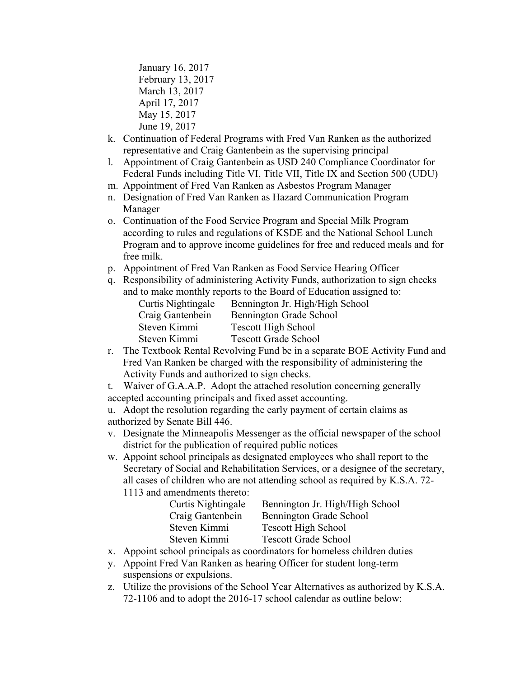January 16, 2017 February 13, 2017 March 13, 2017 April 17, 2017 May 15, 2017 June 19, 2017

- k. Continuation of Federal Programs with Fred Van Ranken as the authorized representative and Craig Gantenbein as the supervising principal
- l. Appointment of Craig Gantenbein as USD 240 Compliance Coordinator for Federal Funds including Title VI, Title VII, Title IX and Section 500 (UDU)
- m. Appointment of Fred Van Ranken as Asbestos Program Manager
- n. Designation of Fred Van Ranken as Hazard Communication Program Manager
- o. Continuation of the Food Service Program and Special Milk Program according to rules and regulations of KSDE and the National School Lunch Program and to approve income guidelines for free and reduced meals and for free milk.
- p. Appointment of Fred Van Ranken as Food Service Hearing Officer
- q. Responsibility of administering Activity Funds, authorization to sign checks and to make monthly reports to the Board of Education assigned to:

| Curtis Nightingale | Bennington Jr. High/High School |
|--------------------|---------------------------------|
| Craig Gantenbein   | Bennington Grade School         |
| Steven Kimmi       | <b>Tescott High School</b>      |
| Steven Kimmi       | <b>Tescott Grade School</b>     |
|                    |                                 |

- r. The Textbook Rental Revolving Fund be in a separate BOE Activity Fund and Fred Van Ranken be charged with the responsibility of administering the Activity Funds and authorized to sign checks.
- t. Waiver of G.A.A.P. Adopt the attached resolution concerning generally accepted accounting principals and fixed asset accounting.

u. Adopt the resolution regarding the early payment of certain claims as authorized by Senate Bill 446.

- v. Designate the Minneapolis Messenger as the official newspaper of the school district for the publication of required public notices
- w. Appoint school principals as designated employees who shall report to the Secretary of Social and Rehabilitation Services, or a designee of the secretary, all cases of children who are not attending school as required by K.S.A. 72- 1113 and amendments thereto:

| Curtis Nightingale | Bennington Jr. High/High School |
|--------------------|---------------------------------|
| Craig Gantenbein   | Bennington Grade School         |
| Steven Kimmi       | <b>Tescott High School</b>      |
| Steven Kimmi       | <b>Tescott Grade School</b>     |
|                    |                                 |

- x. Appoint school principals as coordinators for homeless children duties
- y. Appoint Fred Van Ranken as hearing Officer for student long-term suspensions or expulsions.
- z. Utilize the provisions of the School Year Alternatives as authorized by K.S.A. 72-1106 and to adopt the 2016-17 school calendar as outline below: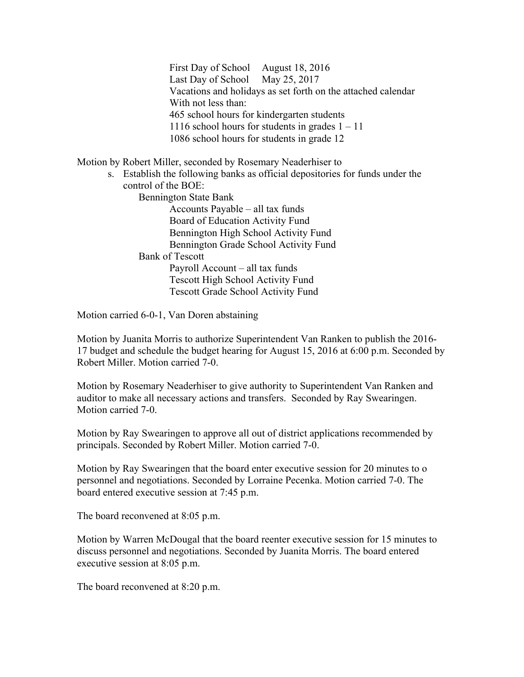First Day of School August 18, 2016 Last Day of School May 25, 2017 Vacations and holidays as set forth on the attached calendar With not less than: 465 school hours for kindergarten students 1116 school hours for students in grades  $1 - 11$ 1086 school hours for students in grade 12

Motion by Robert Miller, seconded by Rosemary Neaderhiser to

s. Establish the following banks as official depositories for funds under the control of the BOE:

Bennington State Bank

Accounts Payable – all tax funds Board of Education Activity Fund Bennington High School Activity Fund Bennington Grade School Activity Fund Bank of Tescott Payroll Account – all tax funds

Tescott High School Activity Fund Tescott Grade School Activity Fund

Motion carried 6-0-1, Van Doren abstaining

Motion by Juanita Morris to authorize Superintendent Van Ranken to publish the 2016- 17 budget and schedule the budget hearing for August 15, 2016 at 6:00 p.m. Seconded by Robert Miller. Motion carried 7-0.

Motion by Rosemary Neaderhiser to give authority to Superintendent Van Ranken and auditor to make all necessary actions and transfers. Seconded by Ray Swearingen. Motion carried 7-0.

Motion by Ray Swearingen to approve all out of district applications recommended by principals. Seconded by Robert Miller. Motion carried 7-0.

Motion by Ray Swearingen that the board enter executive session for 20 minutes to o personnel and negotiations. Seconded by Lorraine Pecenka. Motion carried 7-0. The board entered executive session at 7:45 p.m.

The board reconvened at 8:05 p.m.

Motion by Warren McDougal that the board reenter executive session for 15 minutes to discuss personnel and negotiations. Seconded by Juanita Morris. The board entered executive session at 8:05 p.m.

The board reconvened at 8:20 p.m.